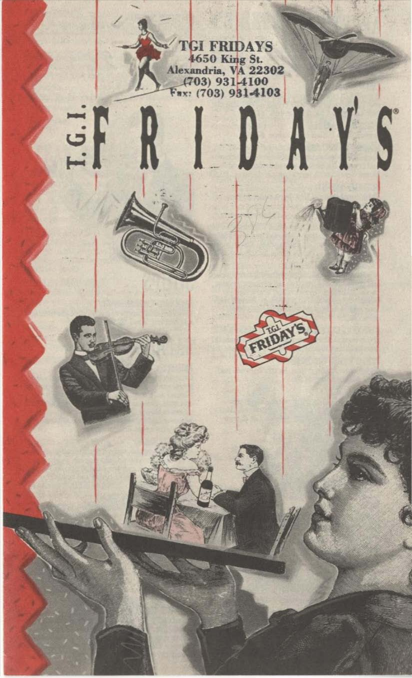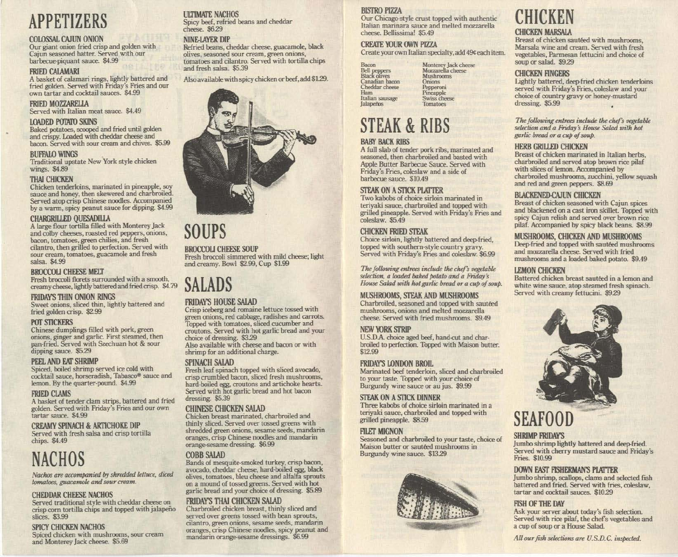## APPETIZERS

### COLOSSAL CAJUN ONION

Our giant onion fried crisp and golden with Cajun seasoned batter. Served with our barbecue-piquant sauce. \$4.99

### **FRIED CALAMARI**

A basket of calamari rings, lightly battered and fried golden. Served with Friday's Fries and our own tartar and cocktail sauces. \$4.99

FRIED MOZZARELLA<br>Served with Italian meat sauce. \$4.49

### LOADED POTATO SKINS

Baked potatoes, scooped and fried until golden and crispy. Loaded with cheddar cheese and bacon. Served with sour cream and chives. \$5.99

### BUFFALO WINGS

Traditional upstate New York style chicken wings. \$4.89

### **THAI CHICKEN**

Chicken tenderloins, marinated in pineapple, soy sauce and honey, then skewered and charbroiled. Served atop crisp Chinese noodles. Accompanied by a warm, spicy peanut sauce for dipping. \$4.99

### CHARGRILLED QUESADILLA

A large flour tortilla filled with Monterey Jack and colby cheeses, roasted red peppers, onions, bacon, tomatoes, green chilies, and fresh<br>cilantro, then grilled to perfection. Served with sour cream, tomatoes, guacamole and fresh salsa. \$4.99

### BROCCOLI CHEESE MELT

Fresh broccoli florets surrounded with a smooth, creamy cheese, lightly battered and fried crisp. \$4.79

### FRIDAY'S THIN ONION RINGS

Sweet onions, sliced thin, lightly battered and fried golden crisp. \$2.99

### POT STICKERS

Chinese dumplings filled with pork, green onions, ginger and garlic. First steamed, then pan-fried. Served with Szechuan hot & sour dipping sauce. \$5.29

### PEEL AND EAT SHRIMP

Spiced, boiled shrimp served ice cold with cocktail sauce, horseradish, Tabasco® sauce and lemon. By the quarter-pound. \$4.99

### **FRIED CLAMS**

A basket of tender dam strips, battered and fried golden. Served with Friday's Fries and our own tartar sauce. \$4.99

### CREAMY SPINACH & ARTICHOKE DIP

Served with fresh salsa and crisp tortilla chips. \$4.49

## NACHOS

 $Nachos$  are accompanied by shredded lettuce, diced *lomatoes, guacamole and sour cream.* 

### CHEDDAR CHEESE NACHOS

Served traditional style with cheddar cheese on crisp corn tortilla chips and topped with jalapeño slices. \$3.99

### SPICY CHICKEN NACHOS

Spiced chicken with mushrooms, sour cream and Monterey Jack cheese. \$5.69

### **ULTIMATE NACHOS**

Spicy beef, refried beans and cheddar cheese. \$629

### NINE-LAYER DIP

Retried beans, cheddar cheese, guacamole, black olives, seasoned sour cream, green onions, tomatoes and cilantro. Served with tortilla chips and fresh salsa. \$5.39

Also available with spicy chicken or beef, add \$L29.



### SOUPS

### BROCCOLI CHEESE SOUP

Fresh broccoli simmered with mild cheese; light and creamy. Bowl \$2.99, Cup \$1.99

### SALADS

### FRIDAY'S HOUSE SALAD

Crisp iceberg and romaine lettuce tossed with green onions, red cabbage, radishes and carrots. Topped with tomatoes, sliced cucumber and croutons. Served with hot garlic bread and your choice of dressing. \$329 Also available with cheese and bacon or with shrimp for an additional charge.

### SPINACH SALAD

Fresh leaf spinach topped with sliced avocado, crisp crumbled bacon, sliced fresh mushrooms, hard·boiled egg, croutons and artichoke hearts. Served with hot garlic bread and hot bacon dressing. \$5.39

### **CHINESE CHICKEN SALAD**

Chicken breast marinated, charbroiled and thinly sliced. Served over tossed greens with shredded green onions, sesame seeds, mandarin oranges, crisp Chinese noodles and mandarin orange-sesame dressing. \$6.99

### **COBB SALAD**

Bands of mesquite-smoked turkey, crisp bacon, avocado, cheddar cheese, hard·boiled egg, black olives, tomatoes, bleu cheese and alfalfa sprouts on a mound of tossed greens. Served with hot garlic bread and your choice of dressing. \$5.89

### FRIDAYS THAI CHICKEN SALAD

Charbroiled chicken breast, thinly sliced and served over greens tossed with bean sprouts, cilantro, green onions. sesame seeds, mandarin oranges, crisp Chinese noodles, spicy peanut and mandarin orange-sesame dressings. \$6.99

### **BISTRO PIZZA**

Our Chicago-style crust topped with authentic Italian marinara sauce and melted mozzarella cheese. Bellissima! \$5.49

### CREATE YOUR OWN PIZZA

Create your own Italian specialty, add 49¢ each item.

Monterey Jack cheese<br>Mozzarella cheese **Mushrooms** Onions Pepperoni Pineapple Swiss cheese Tomatoes

| Bacon               |  |
|---------------------|--|
| <b>Bell</b> peppers |  |
| <b>Black olives</b> |  |
| Canadian bacon      |  |
| Cheddar cheese      |  |
| Ham                 |  |
| Italian sausage     |  |
| lalapenos           |  |

### STEAK & RIBS

### BABY BACK RIBS

A full slab of tender pork ribs, marinated and seasoned, then charbroiled and basted with Apple Butter Barbecue Sauce. Served with Friday's Fries, coleslaw and a side of barbecue sauce. \$10.49

### STEAK ON A STICK PLATTER

Two kabobs of choice sirloin marinated in teriyaki sauce, charbroiled and topped with grilled pineapple. Served with Friday's Fries and coleslaw. \$5.49

### CHICKEN FRIED STEAK

Choice sirloin, lightly battered and deep-fried, topped with soutbem-style country gravy. Served with Friday's Fries and coleslaw. \$6.99

The following entrees include the *chef's* vegetable selection, a loaded baked potato and a Friday's *House Salad with hot gartic bread or a cup of soup.* 

### MUSHROOMS, STEAK AND MUSHROOMS

Charbroiled, seasoned and topped with sauteed mushrooms, onions and melted mozzarella cheese. Served with fried mushrooms. \$9.49

### NEW YORK STRIP

U.S.D.A. choice aged beef, hand-cut and charbroiled to perfection. Topped with Maison butter. \$12.99

### FRIDAY'S LONDON BROIL

Marinated beef tenderloin. sliced and charbroiled to your taste. Topped with your choice of Burgundy wine sauce or au jus. \$9.99

### STEAK ON A STICK DINNER

Three kabobs of choice sirloin marinated in a teriyaki sauce, charbroiled and topped with grilled pineapple. \$8.59

### **FILET MIGNON**

Seasoned and charbroiled to your taste, choice of Maison butter or sauteed mushrooms in Burgundy wine sauce. \$1329



# CHICKEN

### **CHICKEN MARSALA**

Breast of chicken sautéed with mushrooms, Marsala wine and cream. Served with fresh vegetables, Parmesan fettucini and choice of soup or salad. \$929

### **CHICKEN FINGERS**

Lightly battered, deep-fried chicken tenderloins served with Friday's Fries, coleslaw and your choice of coontry gravy or hooey·mustard dressing. \$5.99

The following entrees include the chef's vegetable selection and a Friday's House Salad with hot *garlic bread or a cup of soup.* 

### **HERB GRILLED CHICKEN**

Breast of chicken marinated in Italian herbs, charbroiled and served atop brown rice pilaf with slices of lemon. Accompanied by charbroiled mushrooms, zucchini, yellow squash and red and green peppers. \$8.69

### BLACKENED-CAJUN CHICKEN

Breast of chicken seasoned with Cajun spices and blackened on a cast iron skillet. Topped with spicy Cajun relish and served over brown rice pilaf. Accompanied by spicy black beans. \$8.99

### MUSHROOMS, CHICKEN AND MUSHROOMS

Deep-fried and topped with sautéed mushrooms and mozzarella cheese. Served with fried mushrooms and a loaded baked potato. \$9.49

### UEMON CHICKEN

Battered chicken breast sautéed in a lemon and white wine sauce, atop steamed fresh spinach. Served with creamy fettucini. \$929



## SEAFOOD

### SHRIMP FRIDAY'S

Jumbo shrimp lightly battered and deep-fried. Served with cherry mustard sauce and Friday's Fries. \$10.99

### DOWN EAST FISHERMAN'S PLATTER

Jumbo shrimp, scallops, clams and selected fish battered and fried. Served with fries, coleslaw, tartar and cocktail sauces. \$10.29

### **FISH OF THE DAY**

Ask your server about today's fish selection. Served with rice pilaf, the chef's vegetables and a cup of soup or a House Salad.

All our fish selections are U.S.D.C. inspected.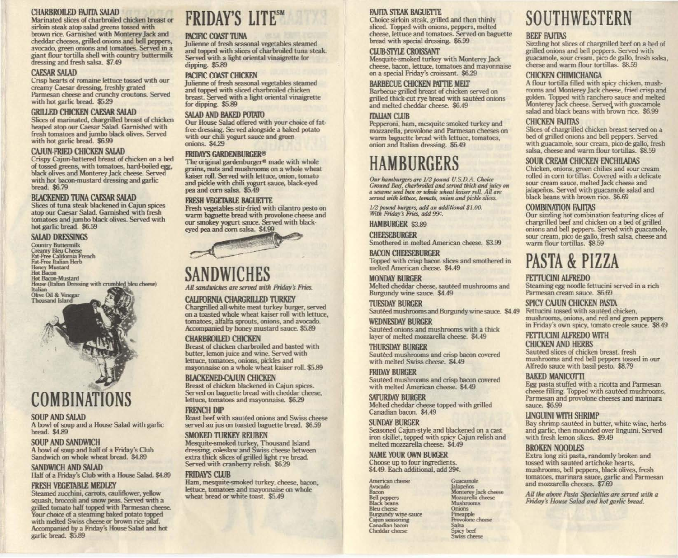### CHARBROILED FAJITA SALAD

Marinated slices of charbroiled chicken breast or sirtoin steak atop salad greens tossed with brown rice. Garnished with Monterey Jack and cheddar cheeses, grilled onions and bell peppers. avocado, green onions and tomatoes. Served in a giant flour tortilla shell with country buttermilk dressing and fresh salsa. \$7.49

### **CAESAR SALAD**

Crisp hearts of romaine lettuce tossed with our creamy Caesar dressing, freshly grated Parmesan cheese and crunchy croutons. Served with hot garlic bread. \$5.29

#### GRILLED CHICKEN CAESAR SALAD

Slices of marinated, chargrilled breast of chicken heaped atop our Caesar Salad. Garnished with fresh tomatoes and jumbo black olives. Served with hot garlic bread. \$6.99

### CAJUN-FRIED CHICKEN SALAD

Crispy Cajun-battered breast of chicken on a bed of tossed greens, with tomatoes, hard-boiled egg, black olives and Monterey Jack cheese. Served with hot bacon-mustard dressing and garlic bread. \$6.79

### BLACKENED TUNA CAESAR SALAD

Slices of tuna steak blackened in Cajun spices atop our Caesar Salad. Garnished with fresh tomatoes and jumbo black olives. Served with hot garlic bread. \$6.59

SALAD DRESSINGS<br>Country Buttermilk<br>Creamy Bleu Cheese Fat-Free California French<br>Fat-Free Italian Herb **Honey Mustard Hot Bacon Hot Bacon-Mustard** House (Italian Dressing with crumbled bleu cheese) Italian Olive Oil & Vinegar **Thousand Island** 

# COMBINATIONS

### SOUP AND SALAD

A bowl of soup and a House Salad with garlic bread. \$4.89

### SOUP AND SANDWICH

A bowl of soup and half of a Friday's Club Sandwich on whole wheat bread. \$4.89

### SANDWICH AND SALAD

Half of a Friday's Club with a House Salad. \$4.89

### FRESH VEGETABLE MEDLEY

Steamed zucchini, carrots, cauliflower, yellow grilled tomato half topped with Parmesan cheese.<br>Your choice of a steaming baked potato topped squash, broccoli and snow peas. Served with a with melted Swiss cheese or brown rice pilaf. Accompanied by a Friday's House Salad and hot garlic bread. \$5.89

## FRIDAY'S LITESM

### PACIFIC COAST TUNA

Julienne of fresh seasonal vegetables steamed and topped with slices of charbroiled tuna steak. Served with a light oriental vinaigrette for dipping. \$5.89

### PACIFIC COAST CHICKEN

Julienne of fresh seasonal vegetables steamed and topped with sliced charbroiled chicken breast. Served with a light oriental vinaigrette for dipping. \$5.89

### SALAD AND BAKED POTATO

Our House Salad offered with your choice of fatfree dressing. Served alongside a baked potato with our chili yogurt sauce and green onions. \$4.29

#### **FRIDAYS GARDENBURGER®**

The original gardenburger<sup>®</sup> made with whole grains, nuts and mushrooms on a whole wheat kaiser roll. Served with lettuce, onion, tomato and pickle with chili yogurt sauce, black-eyed pea and corn salsa. \$5.49

#### FRESH VEGETABLE BAGUETTE

Fresh vegetables stir-fried with cilantro pesto on warm baguette bread with provolone cheese and our smokey yogurt sauce. Served with black-<br>eyed pea and corn salsa. \$4.99 with provolone cheese and<br>uce. Served with black-<br>sa. \$4.99



### SANDWICH

All sandwiches are served with Friday's Fries.

### CALIFORNIA CHARGRILLED TURKEY

Chargrilled all-white meat turkey burger, served on a toasted whole wheat kaiser roll with lettuce, tomatoes, alfalfa sprouts, onions, and avocado. Accompanied by honey mustard sauce. \$5.89

#### CHARBROILED CHICKEN

Breast of chicken charbroiled and basted with butter, lemon juice and wine. Served with lettuce, tomatoes, onions, pickles and mayonnaise on a whole wheat kaiser roll. \$5.89

### BLACKENED-CAJUN CHICKEN

Breast *01* chicken blackened in Cajun spices. Served on baguette bread with cheddar cheese, lettuce, tomatoes and mayonnaise. \$6.29

### **FRENCH DIP**

Roast beef with sautéed onions and Swiss cheese served au jus on toasted baguette bread. \$6.59

#### SMOKED TURKEY REUBEN

Mesquite-smoked turkey, Thousand Island dressing, coleslaw and Swiss cheese between extra thick slices *01* grilled light rye bread. Served with cranberry relish. \$6.29

### **FRIDAYS CLUB**

Ham, mesquite-smoked turkey, cheese, bacon, lettuce, tomatoes and mayonnaise on whole wheat bread or white toast. \$5.49

### FAJITA STEAK BAGUETTE

Choice sirloin steak, grilled and then thinly sliced. Topped with onions, peppers, melted cheese, lettuce and tomatoes. Served on baguette bread with special dressing. \$6.99

### CLUB-STYLE CROISSANT

Mesquite-smoked turkey with Monterey jack cheese, bacon, lettuce, tomatoes and mayonnaise on a special Friday's croissant. \$6.29

### BARBECUE CHICKEN PATTIE MELT

Barbecue-grilled breast of chicken served on grilled thick-cut rye bread with sautéed onions and melted cheddar cheese. \$6.49

### **TTALIAN CLUB**

Pepperoni, ham, mesquite-smoked turkey and mozzarella, provolone and Parmesan cheeses on warm baguette bread with lettuce, tomatoes, onion and Italian dressing. \$6.49

## HAMBURGERS

Our hamburgers are 1/3 pound U.S.D.A. Choice C", *concert and the concert and served thick and juicy on*<br>*Ground Beef, charbroiled and served thick and juicy on*<br>*a sesame seed bun or whole wheat kaiser roll. All are*<br>served with lettuce, tomato, onion and pickle sli

1/2 pound burgers, add an additional \$1.00.<br>With Friday's Fries, add 99¢.

HAMBURGER \$3.89

**CHEESEBURGER** Smothered in melted American cheese. \$3.99

BACON CHEESEBURGER Topped with crisp bacon slices and smothered in melted American cheese. \$4.49

### **MONDAY BURGER** Melted cheddar cheese, sauteed mushrooms and Burgundy wine sauce. \$4.49

**TUESDAY BURGER** Sautéed mushrooms and Burgundy wine sauce. \$4.49

### WEDNESDAY BURGER Sautéed onions and mushrooms with a thick

layer of melted mozzarella cheese. \$4.49

### THURSDAY BURGER

Sautéed mushrooms and crisp bacon covered with melted Swiss cheese. \$4.49

#### **FRIDAY BURGER** Sautéed mushrooms and crisp bacon covered with melted American cheese. \$4.49

SATURDAY BURGER Melted cheddar cheese topped with grilled Canadian bacon. \$4.49

#### **SUNDAY BURGER** Seasoned Cajun-style and blackened on a cast iron skillet, topped with spicy Cajun relish and melted mozzarella cheese.. \$4.49

NAME YOUR OWN BURGER Choose up to four ingredients. \$4.49. Each additional, add 29¢.

American cheese Avocado Bacon **Bell peppers**<br>**Black beans Bleu** cheese **Burgundy wine sauce** Cajun seasoning Canadian bacon Cheddar cheese

Guacamole Jalapeños Monterey Jack cheese Mozzarella cheese **Mushrooms** Onions Pineapple Provolone cheese Salsa Spicy beef Swiss cheese

# SOUTHWESTERN

### **BEEF FAJITAS**

Sizzling hot slices of chargrilled beef on a bed of grilled onions and bell peppers. Served with guacamole, sour cream, pico de galla, fresh salsa, cheese and warm flour tortillas. S8.59

### CHICKEN CHIMICHANGA

A flour tortilla filled with spicy chicken, mush· rooms and Monterey jack cheese, fried crisp and flooks and monterey jack cheese, then crisp and<br>golden. Topped with ranchero sauce and melted<br>Monterey Jack cheese. Served with guacamole salad and black beans with brown rice. \$6.99

CHICKEN FAJITAS<br>Slices of chargrilled chicken breast served on a bed of grilled onions and bell peppers. Served with guacamole, sour cream, pico de gallo, fresh salsa, cheese and warm flour tortillas. \$8.59

### SOUR CREAM CHICKEN ENCHILADAS<br>Chicken, onions, green chilies and sour cream

rolled in corn tortillas. Covered with a delicate sour cream sauce, melted jack cheese and jalapeños. Served with guacamole salad and black beans with brown rice. \$6.69

### **COMBINATION FAJITAS**

Our sizzling hot combination featuring slices or chargrilled beef and chicken on a bed of grilled onions and bell peppers. Served with guacamole, SOUf cream, pico de gallo, fresh salsa, cheese and warm flour tortillas. \$8.59

## PASTA & PIZZA

### FETTUCINI ALFREDO

Steaming egg noodle fettucini served in a rich Parmesan cream sauce. \$6.69

SPICY CAJUN CHICKEN PASTA<br>Fettucini tossed with sauteed chicken, mushrooms, onions, and red and green peppers in Friday's own spicy, tomato creole sauce. \$8.49

### FETTUCINI ALFREDO WITH CHICKEN AND HERBS

Sautéed slices of chicken breast, fresh mushrooms and red bell peppers tossed in our Alfredo sauce with basil pesto. \$8.79

### **BAKED MANICOTTI**

Egg pasta stuffed with a ricotta and Parmesan cheese filling. Topped with sauteed mushrooms, Parmesan and provolone cheeses and marinara sauce. \$6.99

### LINGUINI WITH SHRIMP

Bay shrimp sautéed in butter, white wine, herbs and garlic, then mounded over linguini. Served with fresh lemon slices. \$9.49

### **BROKEN NOODLES**

Extra long ziti pasta, randomly broken and tossed with sautéed artichoke hearts, mushrooms, bell peppers, black olives. fresh tomatoes, marinara sauce, garlic and Parmesan and mozzarella cheeses. \$7.69

All the above Pasta Specialties are served with a Friday's House Salad and hot garlic bread.